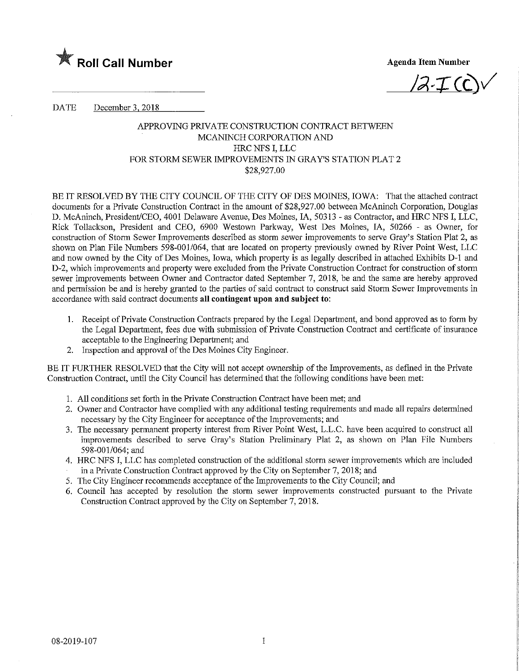

 $/2\cdot\mathcal{I}$  (C)

DATE December 3, 2018

### APPROVING PRIVATE CONSTRUCTION CONTRACT BETWEEN MCANINCH CORPORATION AND HRC NFS I, LLC FOR STORM SEWER IMPROVEMENTS IN GRAY'S STATION PLAT 2 \$28,927.00

BE IT RESOLVED BY THE CITY COUNCIL OF THE CITY OF DES MOMES, IOWA: That the attached contract documents for a Private Construction Contract in the amount of \$28,927.00 between McAmnch Corporation, Douglas D. McAninch, President/CEO, 4001 Delaware Avenue, Des Moines, IA, 50313 - as Contractor, and HRC NFS I, LLC, Rick Tollackson, President and CEO, 6900 Westown Parkway, West Des Moines, IA, 50266 - as Owner, for construction of Storm Sewer Improvements described as storm sewer improvements to serve Gray's Station Plat 2, as shown on Plan File Numbers 598-001/064, that are located on property previously owned by River Point West, LLC and now owned by the City of Des Moines, Iowa, which property is as legally described in attached Exhibits D-1 and D-2, which improvements and property were excluded from the Private Construction Contract for construction of storm sewer improvements between Owner and Contractor dated September 7, 2018, be and the same are hereby approved and permission be and is hereby granted to the parties of said contract to construct said Storm Sewer Improvements in accordance with said contract documents all contingent upon and subject to:

- 1. Receipt of Private Construction Contracts prepared by the Legal Department, and bond approved as to form by the Legal Department, fees due with submission of Private Construction Contract and certificate of insurance acceptable to the Engineering Department; and
- 2. Inspection and approval of the Des Momes City Engineer.

BE IT FURTHER RESOLVED that the City will not accept ownership of the Improvements, as defined in the Private Construction Contract, until the City Council has determined that the following conditions have been met:

- 1. All conditions set forth in the Private Construction Contract have been met; and
- 2. Owner and Contractor have complied with any additional testing requirements and made all repairs determined necessary by the City Engineer for acceptance of the Improvements; and
- 3. The necessary permanent property interest from River Point West, L.L.C. have been acquired to construct all improvements described to serve Gray's Station Preliminary Plat 2, as shown on Plan File Numbers 598-001/064; and
- 4. HRC NFS I, LLC has completed construction of the additional storm sewer improvements which are included in a Private Construction Contract approved by the City on September 7, 2018; and
- 5. The City Engineer recommends acceptance of the Improvements to the City Council; and
- 6. Council has accepted by resolution the storm sewer improvements constructed pursuant to the Private Construction Contract approved by the City on September 7, 2018.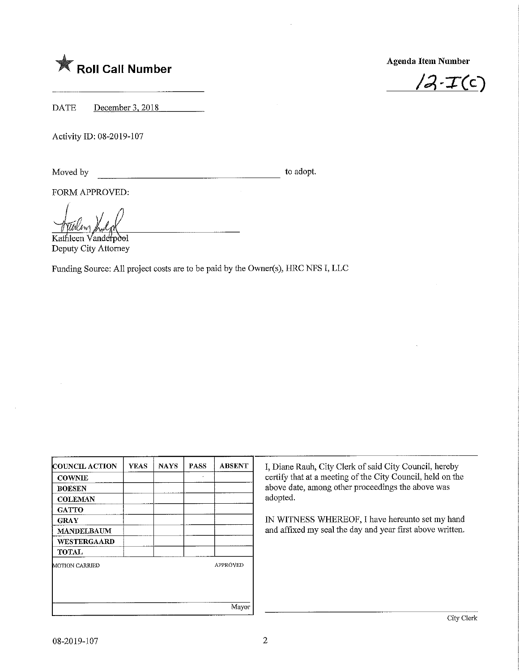# $\mathbb X$  Roll Call Number

Agenda Item Number

 $/2 - T(c)$ 

DATE December 3, 2018

Activity ID: 08-2019-107

Moved by to adopt.

FORM APPROVED:

Kathleen Vanderpool Deputy City Attorney

Funding Source: All project costs are to be paid by the Owner(s), HRC NFS I, LLC

| <b>COUNCIL ACTION</b> | <b>YEAS</b> | <b>NAYS</b> | <b>PASS</b> | <b>ABSENT</b>   |
|-----------------------|-------------|-------------|-------------|-----------------|
| <b>COWNIE</b>         |             |             |             |                 |
| <b>BOESEN</b>         |             |             |             |                 |
| <b>COLEMAN</b>        |             |             |             |                 |
| <b>GATTO</b>          |             |             |             |                 |
| <b>GRAY</b>           |             |             |             |                 |
| <b>MANDELBAUM</b>     |             |             |             |                 |
| WESTERGAARD           |             |             |             |                 |
| <b>TOTAL</b>          |             |             |             |                 |
| MOTION CARRIED        |             |             |             | <b>APPROVED</b> |
|                       |             |             |             |                 |
|                       |             |             |             |                 |
|                       |             |             |             | Mayor           |

I, Diane Rauh, City Clerk of said City Council, hereby certify that at a meeting of the City Council, held on the above date, among other proceedmgs the above was adopted.

IN WITNESS WHEREOF, I have hereunto set my hand and affixed my seal the day and year first above written.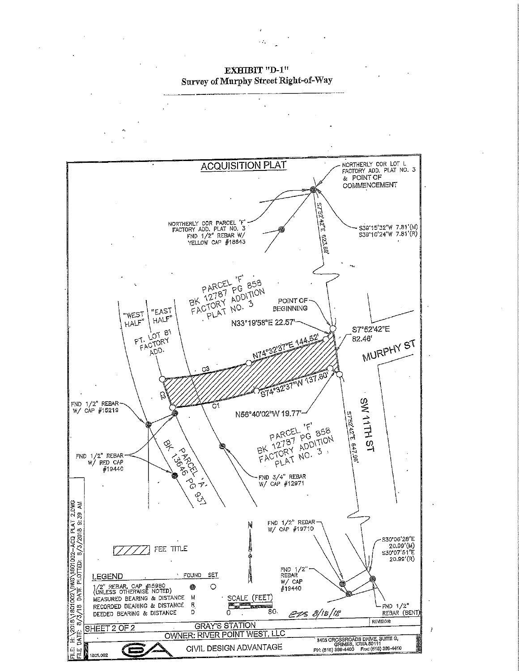EEDIX D-l<br>mler Genoot Dicht  $\sum_{i=1}^{N}$  of  $\sum_{i=1}^{N}$   $\sum_{i=1}^{N}$   $\sum_{i=1}^{N}$   $\sum_{i=1}^{N}$ 

 $\ddotsc$ 

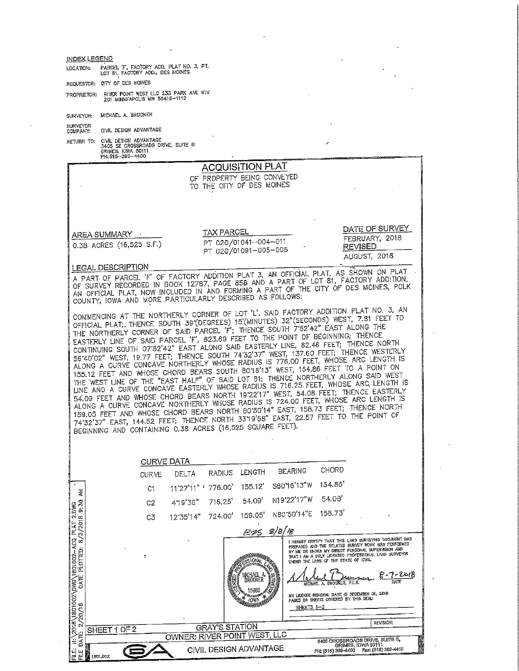| <b>INDEX LEGEND</b>                                       |                                                                                                                                                                             |                   |                     |               |                                              |                 |                   |                                       |                                                                                                         |                                                        |  |
|-----------------------------------------------------------|-----------------------------------------------------------------------------------------------------------------------------------------------------------------------------|-------------------|---------------------|---------------|----------------------------------------------|-----------------|-------------------|---------------------------------------|---------------------------------------------------------------------------------------------------------|--------------------------------------------------------|--|
| LOCATION:                                                 | PARCEL 'F', FACTORY ADD. PLAT NO. 3, PT.<br>LOT 81, FACTORY ADD., DES MOINES                                                                                                |                   |                     |               |                                              |                 |                   |                                       |                                                                                                         |                                                        |  |
|                                                           | REQUESTOR: CITY OF DES MOINES                                                                                                                                               |                   |                     |               |                                              |                 |                   |                                       |                                                                                                         |                                                        |  |
|                                                           | PROPRIETOR: RIVER POINT WEST LLC 233 PARK AVE STE<br>201 MINNEAPOLIS MN 55415-1112                                                                                          |                   |                     |               |                                              |                 |                   |                                       |                                                                                                         |                                                        |  |
| SURVEYOR:                                                 | MICHAEL A. BROONER                                                                                                                                                          |                   |                     |               |                                              |                 |                   |                                       |                                                                                                         |                                                        |  |
| <b>SURVEYOR</b>                                           | CIVIL DESIGN ADVANTAGE                                                                                                                                                      |                   |                     |               |                                              |                 |                   |                                       |                                                                                                         |                                                        |  |
| COMPANY:                                                  | RETURN TO: CIVIL DESIGN ADVANTAGE                                                                                                                                           |                   |                     |               |                                              |                 |                   |                                       |                                                                                                         |                                                        |  |
|                                                           | 3405 SE CROSSROADS DRIVE, SUITE G<br>GRIMES, IOWA 50111<br>PH: 515-369-4400                                                                                                 |                   |                     |               |                                              |                 |                   |                                       |                                                                                                         |                                                        |  |
|                                                           |                                                                                                                                                                             |                   |                     |               | <b>ACQUISITION PLAT</b>                      |                 |                   |                                       |                                                                                                         |                                                        |  |
|                                                           |                                                                                                                                                                             |                   |                     |               | OF PROPERTY BEING CONVEYED                   |                 |                   |                                       |                                                                                                         |                                                        |  |
|                                                           |                                                                                                                                                                             |                   |                     |               | TO THE CITY OF DES MOINES                    |                 |                   |                                       |                                                                                                         |                                                        |  |
|                                                           |                                                                                                                                                                             |                   |                     |               |                                              |                 |                   |                                       |                                                                                                         |                                                        |  |
|                                                           |                                                                                                                                                                             |                   |                     |               |                                              |                 |                   |                                       |                                                                                                         |                                                        |  |
|                                                           | AREA SUMMARY __                                                                                                                                                             |                   |                     |               | <b>TAX PARCEL</b>                            |                 |                   |                                       | FEBRUARY, 2018                                                                                          | DATE OF SURVEY                                         |  |
|                                                           | 0.3B ACRES (16,525 S.F.)                                                                                                                                                    |                   |                     |               | PT 020/01041-004-011<br>PT 020/01091-005-005 |                 |                   |                                       | <b>REVISED</b>                                                                                          |                                                        |  |
|                                                           |                                                                                                                                                                             |                   |                     |               |                                              |                 |                   |                                       | AUGUST, 2018                                                                                            |                                                        |  |
|                                                           | LEGAL DESCRIPTION<br>A PART OF PARCEL 'F' OF FACTORY ADDITION PLAT 3, AN OFFICIAL PLAT, AS SHOWN ON PLAT                                                                    |                   |                     |               |                                              |                 |                   |                                       |                                                                                                         |                                                        |  |
|                                                           | OF SURVEY RECORDED IN BOOK 12787, PAGE 858 AND A PART OF LOT 81, FACTORY ADDITION,<br>AN OFFICIAL PLAT, NOW INCLUDED IN AND FORMING A PART OF THE CITY OF DES MOINES, POLK  |                   |                     |               |                                              |                 |                   |                                       |                                                                                                         |                                                        |  |
|                                                           | COUNTY, IOWA AND MORE PARTICULARLY DESCRIBED AS FOLLOWS:                                                                                                                    |                   |                     |               |                                              |                 |                   |                                       |                                                                                                         |                                                        |  |
|                                                           | COMMENCING AT THE NORTHERLY CORNER OF LOT 'L', SAID FACTORY ADDITION PLAT NO. 3, AN                                                                                         |                   |                     |               |                                              |                 |                   |                                       |                                                                                                         |                                                        |  |
|                                                           | OFFICIAL PLAT; THENCE SOUTH 39 (DEGREES) 15 (MINUTES) 32" (SECONDS) WEST, 7.81 FEET TO<br>THE NORTHERLY CORNER OF SAID PARCEL 'F'; THENCE SOUTH 7'52'42" EAST ALONG THE     |                   |                     |               |                                              |                 |                   |                                       |                                                                                                         |                                                        |  |
|                                                           | EASTERLY LINE OF SAID PARCEL 'F', 623.69 FEET TO THE POINT OF BEGINNING; THENCE                                                                                             |                   |                     |               |                                              |                 |                   |                                       |                                                                                                         |                                                        |  |
|                                                           | CONTINUING SOUTH 07'52'42" EAST ALONG SAID EASTERLY LINE, 82.46 FEET; THENCE NORTH<br>56'40'02" WEST, 19.77 FEET; THENCE SOUTH 74'32'37" WEST, 137.60 FEET; THENCE WESTERLY |                   |                     |               |                                              |                 |                   |                                       |                                                                                                         |                                                        |  |
|                                                           | ALONG A CURVE CONCAVE NORTHERLY WHOSE RADIUS IS 776.00 FEET, WHOSE ARC LENGTH IS                                                                                            |                   |                     |               |                                              |                 |                   |                                       |                                                                                                         |                                                        |  |
|                                                           | 155.12 FEET AND WHOSE CHORD BEARS SOUTH 80'16'13" WEST, 154.86 FEET TO A POINT ON<br>THE WEST LINE OF THE "EAST HALF" OF SAID LOT 81; THENCE NORTHERLY ALONG SAID WEST      |                   |                     |               |                                              |                 |                   |                                       |                                                                                                         |                                                        |  |
|                                                           | LINE AND A CURVE CONCAVE EASTERLY WHOSE RADIUS IS 716.25 FEET, WHOSE ARC LENGTH IS<br>54.09 FEET AND WHOSE CHORD BEARS NORTH 19'22'17" WEST, 54.08 FEET; THENCE EASTERLY    |                   |                     |               |                                              |                 |                   |                                       |                                                                                                         |                                                        |  |
|                                                           | ALONG A CURVE CONCAVE NORTHERLY WHOSE RADIUS IS 724.00 FEET, WHOSE ARC LENGTH IS                                                                                            |                   |                     |               |                                              |                 |                   |                                       |                                                                                                         |                                                        |  |
|                                                           | 159.05 FEET AND WHOSE CHORD BEARS NORTH 80'50'14" EAST, 158.73 FEET; THENCE NORTH<br>74'32'37" EAST, 144.52 FEET; THENCE NORTH 33'19'58" EAST, 22.57 FEET TO THE POINT OF   |                   |                     |               |                                              |                 |                   |                                       |                                                                                                         |                                                        |  |
|                                                           | BEGINNING AND CONTAINING 0.38 ACRES (16,525 SQUARE FEET).                                                                                                                   |                   |                     |               |                                              |                 |                   |                                       |                                                                                                         |                                                        |  |
|                                                           |                                                                                                                                                                             |                   |                     |               |                                              |                 |                   |                                       |                                                                                                         |                                                        |  |
|                                                           |                                                                                                                                                                             | <b>CURVE DATA</b> |                     |               |                                              |                 |                   |                                       |                                                                                                         |                                                        |  |
|                                                           |                                                                                                                                                                             | <b>CURVE</b>      | DELTA               | <b>RADIUS</b> | LENGTH                                       |                 | <b>BEARING</b>    | CHORD                                 |                                                                                                         |                                                        |  |
|                                                           |                                                                                                                                                                             | C1                | 11'27'11" ' 776.00' |               | 155.12                                       |                 | S80'16'13"W       | 154.86'                               |                                                                                                         |                                                        |  |
| Ř                                                         |                                                                                                                                                                             |                   |                     |               | 54.09'                                       |                 | N19'22'17"W       | 54.08                                 |                                                                                                         |                                                        |  |
| 9:30                                                      |                                                                                                                                                                             | C2                | 419'36"             | 716.25'       |                                              |                 | N80'50'14"E       | 158.73                                |                                                                                                         |                                                        |  |
|                                                           |                                                                                                                                                                             | C3                | 12'35'14"           | 724.00'       | 159.05'                                      |                 |                   |                                       |                                                                                                         |                                                        |  |
| 8/3/2018                                                  |                                                                                                                                                                             |                   |                     |               |                                              | 3/3/ <i>1</i> 8 |                   |                                       |                                                                                                         | I HEREBY CERTIFY THAT THIS LAND SURVEYING DOCUMENT WAS |  |
|                                                           |                                                                                                                                                                             |                   |                     |               |                                              |                 |                   |                                       | PREPARED AND THE RELATED SURVEY WORK WAS PERFORMED<br>BY ME OR UNDER MY DIRECT PERSONAL SUPERVISION AND |                                                        |  |
|                                                           |                                                                                                                                                                             | ۴                 |                     |               |                                              |                 |                   | UNDER THE LAWS OF THE STATE OF IDWA.  | THAT I AM A DULY LICENSED PROFESSIONAL LAND SURVEYOR                                                    |                                                        |  |
| DATE PLOTTED:                                             |                                                                                                                                                                             |                   |                     |               | (ICHAEL)<br>BROONER                          |                 |                   |                                       |                                                                                                         | - 6018                                                 |  |
|                                                           |                                                                                                                                                                             |                   |                     |               |                                              |                 |                   | MICHAEL A. BROONER, P.L.S.            |                                                                                                         |                                                        |  |
|                                                           |                                                                                                                                                                             |                   |                     |               | IOWP                                         |                 |                   | PAGES OR SHEETS COVERED BY THIS SEAL: | MY LICENSE RENEWAL DATE IS DECEMBER 31, 2018                                                            |                                                        |  |
| /20/18                                                    |                                                                                                                                                                             |                   |                     |               |                                              |                 | <u>SHEETS 1-2</u> |                                       |                                                                                                         |                                                        |  |
| 2018\1801002\DWG\1801002-ACQ PLAT 2.DWG<br>$\mathfrak{S}$ | OF <sub>2</sub><br>SHEET 1                                                                                                                                                  |                   |                     |               | <b>GRAY'S STATION</b>                        |                 |                   |                                       |                                                                                                         | REVISION:                                              |  |
| DATE:<br>Ŧ                                                |                                                                                                                                                                             |                   |                     |               | OWNER: RIVER POINT WEST, LLC                 |                 |                   |                                       | 3405 GROSSROADS DRIVE, SUITE G.<br>GRIMES, IOWA 50111                                                   |                                                        |  |
| FILE<br>닢                                                 | 1801,002                                                                                                                                                                    |                   |                     |               | CIVIL DESIGN ADVANTAGE                       |                 |                   |                                       | PH: (515) 369-4400  Fax: (515) 369-4410                                                                 |                                                        |  |
|                                                           |                                                                                                                                                                             |                   |                     |               |                                              |                 |                   |                                       |                                                                                                         |                                                        |  |

 $\bar{\mathcal{A}}$ 

 $\sim$ 

 $\sim$ 

 $\sim$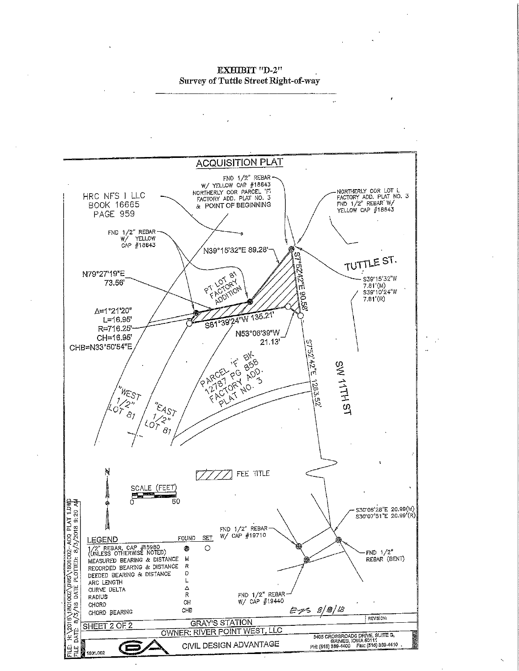EXHIBIT "D-2rt"<br>Ali: Shootad Titula  $S_{\text{S}}$  of  $\chi$  and  $\chi$  is seen the gas  $\chi$ -way

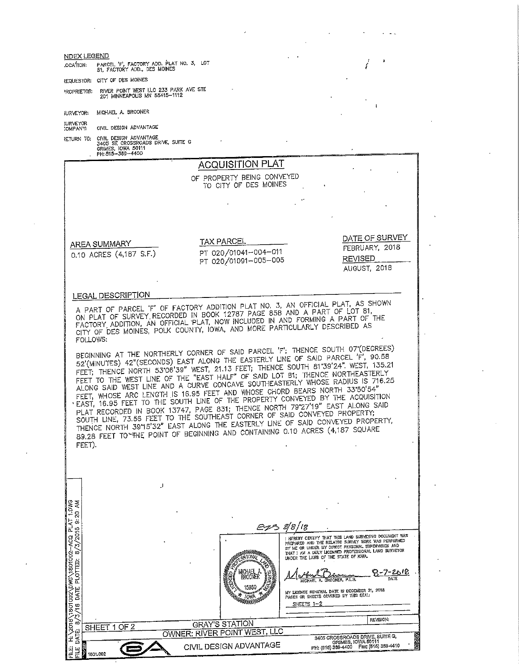| NDEX LEGEND                                                                                  |                                                                                                                                                                                                                                         |                                                                                                                                                                                                                                                                                                                                                                                                                                                                                                                                                                                                                                                                                   |
|----------------------------------------------------------------------------------------------|-----------------------------------------------------------------------------------------------------------------------------------------------------------------------------------------------------------------------------------------|-----------------------------------------------------------------------------------------------------------------------------------------------------------------------------------------------------------------------------------------------------------------------------------------------------------------------------------------------------------------------------------------------------------------------------------------------------------------------------------------------------------------------------------------------------------------------------------------------------------------------------------------------------------------------------------|
| PARCEL 'F', FACTORY ADD. PLAT NO. 3, LOT<br>81, FACTORY ADD., DES MOINES<br><b>NOITACO.</b>  |                                                                                                                                                                                                                                         |                                                                                                                                                                                                                                                                                                                                                                                                                                                                                                                                                                                                                                                                                   |
| REQUESTOR: CITY OF DES MOINES                                                                |                                                                                                                                                                                                                                         |                                                                                                                                                                                                                                                                                                                                                                                                                                                                                                                                                                                                                                                                                   |
| RIVER POINT WEST LLC 233 PARK AVE STE<br>PROPRIETOR:<br>201 MINNEAPOLIS MN 55415-1112        |                                                                                                                                                                                                                                         |                                                                                                                                                                                                                                                                                                                                                                                                                                                                                                                                                                                                                                                                                   |
| MICHAEL A. BROONER<br>JURVEYOR:                                                              |                                                                                                                                                                                                                                         |                                                                                                                                                                                                                                                                                                                                                                                                                                                                                                                                                                                                                                                                                   |
| <b>JURVEYOR</b><br>CIVIL DESIGN ADVANTAGE<br><b>COMPANY:</b>                                 |                                                                                                                                                                                                                                         |                                                                                                                                                                                                                                                                                                                                                                                                                                                                                                                                                                                                                                                                                   |
| RETURN TO: CIVIL DESIGN ADVANTAGE<br>3405 SE CROSSROADS DRIVE, SUITE G<br>GRIMES, IOWA 50111 |                                                                                                                                                                                                                                         |                                                                                                                                                                                                                                                                                                                                                                                                                                                                                                                                                                                                                                                                                   |
| PH: 515-369-4400                                                                             |                                                                                                                                                                                                                                         |                                                                                                                                                                                                                                                                                                                                                                                                                                                                                                                                                                                                                                                                                   |
|                                                                                              | <b>ACQUISITION PLAT</b>                                                                                                                                                                                                                 |                                                                                                                                                                                                                                                                                                                                                                                                                                                                                                                                                                                                                                                                                   |
|                                                                                              | OF PROPERTY BEING CONVEYED<br>TO CITY OF DES MOINES                                                                                                                                                                                     |                                                                                                                                                                                                                                                                                                                                                                                                                                                                                                                                                                                                                                                                                   |
|                                                                                              |                                                                                                                                                                                                                                         |                                                                                                                                                                                                                                                                                                                                                                                                                                                                                                                                                                                                                                                                                   |
|                                                                                              |                                                                                                                                                                                                                                         |                                                                                                                                                                                                                                                                                                                                                                                                                                                                                                                                                                                                                                                                                   |
|                                                                                              |                                                                                                                                                                                                                                         |                                                                                                                                                                                                                                                                                                                                                                                                                                                                                                                                                                                                                                                                                   |
| AREA SUMMARY                                                                                 | <b>TAX PARCEL</b>                                                                                                                                                                                                                       | DATE OF SURVEY<br>FEBRUARY, 2018                                                                                                                                                                                                                                                                                                                                                                                                                                                                                                                                                                                                                                                  |
| 0.10 ACRES (4,187 S.F.)                                                                      | PT 020/01041-004-011<br>PT 020/01091-005-005                                                                                                                                                                                            | <b>REVISED</b>                                                                                                                                                                                                                                                                                                                                                                                                                                                                                                                                                                                                                                                                    |
|                                                                                              |                                                                                                                                                                                                                                         | AUGUST, 2018                                                                                                                                                                                                                                                                                                                                                                                                                                                                                                                                                                                                                                                                      |
|                                                                                              |                                                                                                                                                                                                                                         |                                                                                                                                                                                                                                                                                                                                                                                                                                                                                                                                                                                                                                                                                   |
| LEGAL DESCRIPTION                                                                            |                                                                                                                                                                                                                                         | A PART OF PARCEL 'F' OF FACTORY ADDITION PLAT NO. 3, AN OFFICIAL PLAT, AS SHOWN                                                                                                                                                                                                                                                                                                                                                                                                                                                                                                                                                                                                   |
|                                                                                              | ON PLAT OF SURVEY RECORDED IN BOOK 12787 PAGE 858 AND A PART OF LOT 81,                                                                                                                                                                 |                                                                                                                                                                                                                                                                                                                                                                                                                                                                                                                                                                                                                                                                                   |
|                                                                                              | CITY OF DES MOINES, POLK COUNTY, IOWA, AND MORE PARTICULARLY DESCRIBED AS                                                                                                                                                               | FACTORY ADDITION, AN OFFICIAL PLAT, NOW INCLUDED IN AND FORMING A PART OF THE                                                                                                                                                                                                                                                                                                                                                                                                                                                                                                                                                                                                     |
| FEET).                                                                                       | FEET, WHOSE ARC LENGTH IS 16.95 FEET AND WHOSE CHORD BEARS NORTH 33'50'54"<br>SOUTH LINE, 73.56 FEET TO THE SOUTHEAST CORNER OF SAID CONVEYED PROPERTY;<br>89.28 FEET TO THE POINT OF BEGINNING AND CONTAINING 0.10 ACRES (4,187 SQUARE | BEGINNING AT THE NORTHERLY CORNER OF SAID PARCEL 'F'; THENCE SOUTH 07'(DEGREES)<br>52'(MINUTES) 42"(SECONDS) EAST ALONG THE EASTERLY LINE OF SAID PARCEL 'F', 90.58<br>FEET; THENCE NORTH 53°06'39" WEST, 21.13 FEET; THENCE SOUTH 81°39'24". WEST, 135.21<br>FEET TO THE WEST LINE OF THE "EAST HALF" OF SAID LOT 81; THENCE NORTHEASTERLY<br>ALONG SAID WEST LINE AND A CURVE CONCAVE SOUTHEASTERLY WHOSE RADIUS IS 716.25<br>EAST, 16.95 FEET TO THE SOUTH LINE OF THE PROPERTY CONVEYED BY THE ACQUISITION<br>PLAT RECORDED IN BOOK 13747, PAGE 831; THENCE NORTH 79'27'19" EAST ALONG SAID<br>THENCE NORTH 39"15'32" EAST ALONG THE EASTERLY LINE OF SAID CONVEYED PROPERTY, |
|                                                                                              |                                                                                                                                                                                                                                         |                                                                                                                                                                                                                                                                                                                                                                                                                                                                                                                                                                                                                                                                                   |
| ار                                                                                           |                                                                                                                                                                                                                                         |                                                                                                                                                                                                                                                                                                                                                                                                                                                                                                                                                                                                                                                                                   |
|                                                                                              |                                                                                                                                                                                                                                         |                                                                                                                                                                                                                                                                                                                                                                                                                                                                                                                                                                                                                                                                                   |
| 1.DWG<br>20 AM                                                                               |                                                                                                                                                                                                                                         |                                                                                                                                                                                                                                                                                                                                                                                                                                                                                                                                                                                                                                                                                   |
|                                                                                              |                                                                                                                                                                                                                                         | Ez> 8/8/18                                                                                                                                                                                                                                                                                                                                                                                                                                                                                                                                                                                                                                                                        |
| 3/18 DATE PLOTTED: 8/3/2018 9:20                                                             |                                                                                                                                                                                                                                         | I HEREBY CERTIFY THAT THIS LAND SURVEYING DOCUMENT WAS<br>PREPARED AND THE RELATED SURVEY WORK WAS PERFORMED<br>BY ME OR UNDER MY DIRECT PERSONAL SUPERVISION AND<br>THAT I AM A DULY LICENSED PROFESSIONAL LAND SURVEYOR<br>UNDER THE LAWS OF THE STATE OF JOWA.                                                                                                                                                                                                                                                                                                                                                                                                                 |
|                                                                                              | OONER                                                                                                                                                                                                                                   | UROONER, P.L.S.<br>MICHAEL A.                                                                                                                                                                                                                                                                                                                                                                                                                                                                                                                                                                                                                                                     |
|                                                                                              | <b>JOWA</b><br>PHO DODGES                                                                                                                                                                                                               | MY LICENSE RENEWAL DATE IS DECEMBER 31, 2018<br>PAGES OR SHEETS COVERED BY THIS SEAL!<br>SHEETS $1-2$                                                                                                                                                                                                                                                                                                                                                                                                                                                                                                                                                                             |
|                                                                                              |                                                                                                                                                                                                                                         |                                                                                                                                                                                                                                                                                                                                                                                                                                                                                                                                                                                                                                                                                   |
|                                                                                              |                                                                                                                                                                                                                                         |                                                                                                                                                                                                                                                                                                                                                                                                                                                                                                                                                                                                                                                                                   |
| ထဲ<br>SHEET 1 OF 2                                                                           | <b>GRAY'S STATION</b>                                                                                                                                                                                                                   | <b>REVISION:</b>                                                                                                                                                                                                                                                                                                                                                                                                                                                                                                                                                                                                                                                                  |
| H:\zor8\1801002\0WG\1801002-ACQ PLAT<br>ENE:<br>DATE:<br>.<br>FLE                            | OWNER: RIVER POINT WEST, LLC<br>CIVIL DESIGN ADVANTAGE                                                                                                                                                                                  | 3405 CROSSROADS DRIVE, SUITE G.<br>GRIMES, IOWA 50111<br>PH: (516) 369-4400    Fax: (515) 369-4410                                                                                                                                                                                                                                                                                                                                                                                                                                                                                                                                                                                |

 $\mathbb{Z}^2$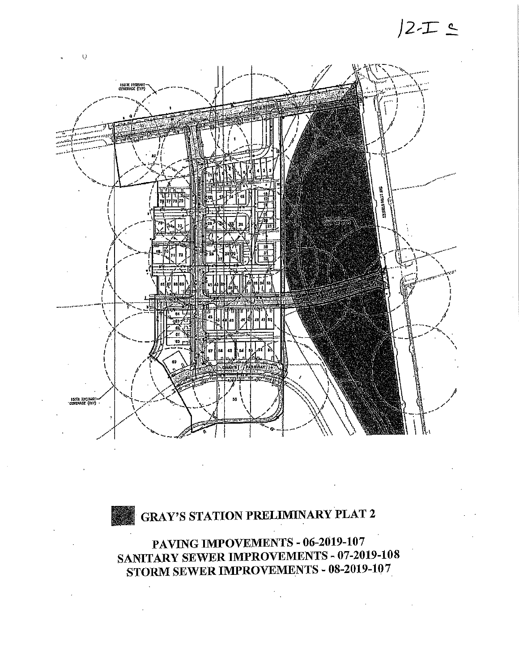## $/2$ - $\top$   $\leq$



## GRAY'S STATION PRELIMINARY PLAT 2

PAVING IMPOVEMENTS - 06-2019-107<br>SANITARY SEWER IMPROVEMENTS - 07-2019-108  $\text{SAVI}$ TARY SEWER IMPROVEMENTS - 07-2019-108  $\text{SIORM}$  SEWER IMPROVEMENTS - 09-2019-107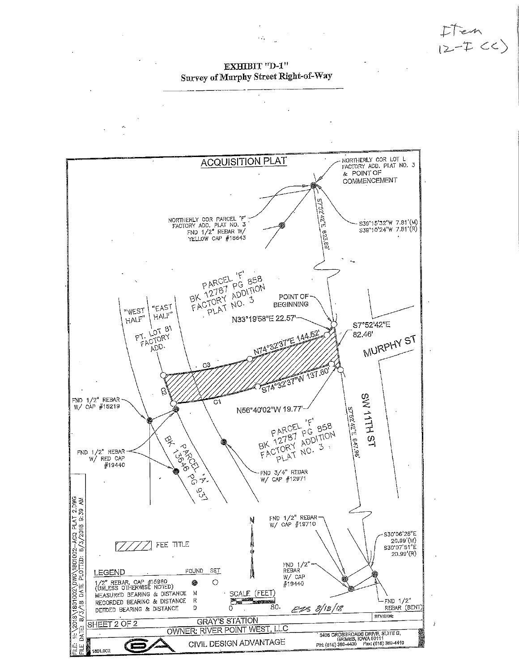$I$ Ten<br> $I$ 2-I  $CC$ 

annas<br>"Ly Stroot Dicht  $\sum_{i=1}^{n}$  of Murphy Street Right-of-Way

 $\sim 2\%$ 

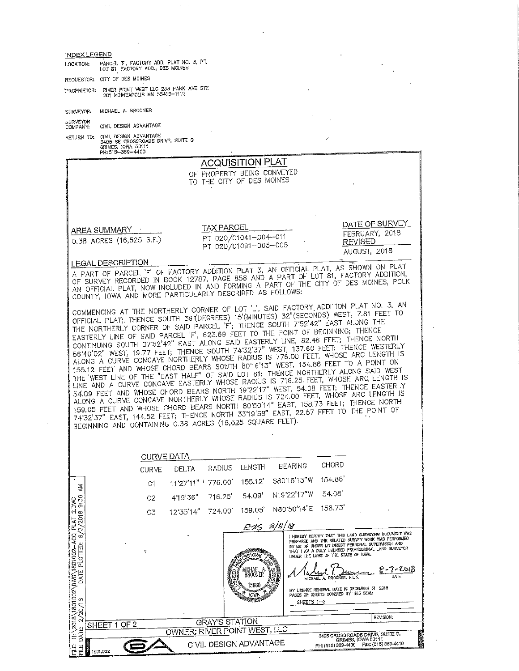INDEX LEGEND LOT 81, FACTORY ADD., DES MOINES

 $\sim$   $\epsilon$ 

 $\bar{\mathbf{r}}$ 

REQUESTOR: CITY OF DES MQINES BIETOR; RIVER MINNEAPOLIS MN 55415-1112

SURVEYOR: MICHAEL A. BROONER

SURVEYOR<br>COMPANY: CIVIL DESIGN ADVANTAGE COMPANY: CIVIL DESIGN ADVANTAGE

RETURN TO; CIVIL DES CROSSROADS DRIVE, SUITE G<br>GRIMES, IOWA 50111<br>DUI 515-389-4400

| GRIMES, JOMA OUT IT<br>PH: 515-369-4400                   |                                                                                                                                                                            |                                                                                                              |
|-----------------------------------------------------------|----------------------------------------------------------------------------------------------------------------------------------------------------------------------------|--------------------------------------------------------------------------------------------------------------|
|                                                           | <b>ACQUISITION PLAT</b>                                                                                                                                                    |                                                                                                              |
|                                                           | OF PROPERTY BEING CONVEYED                                                                                                                                                 |                                                                                                              |
|                                                           | TO THE CITY OF DES MOINES                                                                                                                                                  |                                                                                                              |
|                                                           |                                                                                                                                                                            |                                                                                                              |
|                                                           |                                                                                                                                                                            |                                                                                                              |
|                                                           |                                                                                                                                                                            |                                                                                                              |
|                                                           |                                                                                                                                                                            | DATE OF SURVEY                                                                                               |
| AREA SUMMARY ·                                            | <b>TAX PARCEL</b>                                                                                                                                                          | FEBRUARY, 2018                                                                                               |
| 0.38 ACRES (16,525 S.F.)                                  | PT 020/01041-004-011<br>PT 020/01091-005-005                                                                                                                               | <b>REVISED</b>                                                                                               |
|                                                           |                                                                                                                                                                            | AUGUST, 2018                                                                                                 |
| LEGAL DESCRIPTION                                         |                                                                                                                                                                            |                                                                                                              |
|                                                           | A PART OF PARCEL 'F' OF FACTORY ADDITION PLAT 3, AN OFFICIAL PLAT, AS SHOWN ON PLAT                                                                                        |                                                                                                              |
|                                                           | OF SURVEY RECORDED IN BOOK 12787, PAGE 858 AND A PART OF LOT 81, FACTORY ADDITION,<br>AN OFFICIAL PLAT, NOW INCLUDED IN AND FORMING A PART OF THE CITY OF DES MOINES, POLK |                                                                                                              |
| COUNTY, IOWA AND MORE PARTICULARLY DESCRIBED AS FOLLOWS:  |                                                                                                                                                                            |                                                                                                              |
|                                                           |                                                                                                                                                                            |                                                                                                              |
|                                                           | COMMENCING AT THE NORTHERLY CORNER OF LOT 'L', SAID FACTORY ADDITION PLAT NO. 3, AN                                                                                        |                                                                                                              |
|                                                           | OFFICIAL PLAT; THENCE SOUTH 39 (DEGREES) 15 (MINUTES) 32" (SECONDS) WEST, 7.81 FEET TO<br>THE NORTHERLY CORNER OF SAID PARCEL 'F'; THENCE SOUTH 7'52'42" EAST ALONG THE    |                                                                                                              |
|                                                           | EASTERLY LINE OF SAID PARCEL 'F', 623.69 FEET TO THE POINT OF BEGINNING; THENCE                                                                                            |                                                                                                              |
|                                                           | CONTINUING SOUTH 07'52'42" EAST ALONG SAID EASTERLY LINE, 82.46 FEET; THENCE NORTH                                                                                         |                                                                                                              |
|                                                           | 56'40'02" WEST, 19.77 FEET; THENCE SOUTH 74'32'37" WEST, 137.60 FEET; THENCE WESTERLY                                                                                      |                                                                                                              |
|                                                           | ALONG A CURVÉ CONCAVE NORTHERLY WHOSE RADIUS IS 776.00 FEET, WHOSE ARC LENGTH IS<br>155.12 FEET AND WHOSE CHORD BEARS SOUTH 8016'13" WEST, 154.86 FEET TO A POINT ON       |                                                                                                              |
|                                                           | THE WEST LINE OF THE "EAST HALF" OF SAID LOT 81; THENCE NORTHERLY ALONG SAID WEST                                                                                          |                                                                                                              |
|                                                           | LINE AND A CURVE CONCAVE EASTERLY WHOSE RADIUS IS 716.25. FEET, WHOSE ARC LENGTH IS                                                                                        |                                                                                                              |
|                                                           | 54.09 FEET AND WHOSE CHORD BEARS NORTH 19'22'17" WEST, 54.08 FEET, THENCE EASTERLY                                                                                         |                                                                                                              |
|                                                           | ALONG A CURVE CONCAVE NORTHERLY WHOSE RADIUS IS 724.00 FEET, WHOSE ARC LENGTH IS<br>159.05 FEET AND WHOSE CHORD BEARS NORTH 80'50'14" EAST, 158.73 FEET; THENCE NORTH      |                                                                                                              |
|                                                           | 74'32'37" EAST, 144,52 FEET; THENCE NORTH 33'19'58" EAST, 22.57 FEET TO THE POINT OF                                                                                       |                                                                                                              |
| BEGINNING AND CONTAINING 0.38 ACRES (16,525 SQUARE FEET). |                                                                                                                                                                            |                                                                                                              |
|                                                           |                                                                                                                                                                            |                                                                                                              |
|                                                           |                                                                                                                                                                            |                                                                                                              |
| <b>CURVE DATA</b>                                         |                                                                                                                                                                            |                                                                                                              |
| <b>DELTA</b>                                              | CHORD<br><b>HEARING</b><br>LENGTH<br><b>RADIUS</b>                                                                                                                         |                                                                                                              |
| <b>CURVE</b><br>C1                                        | 154.86<br>S80'16'13"W<br>$155.12^*$<br>11'27'11"   776.00'                                                                                                                 |                                                                                                              |
| ≹<br>$\frac{1000}{9.30}$<br>4'19'36"<br>C2                | 54.08<br>N19'22'17"W<br>54.09'<br>716.25'                                                                                                                                  |                                                                                                              |
| 12'35'14"<br>C <sub>3</sub>                               | 158.73'<br>N80'50'14"E<br>159.05<br>724.00'                                                                                                                                |                                                                                                              |
| AT 21<br>2018<br>IXT                                      | E15 8/8/18                                                                                                                                                                 |                                                                                                              |
| $\frac{5}{10}$                                            |                                                                                                                                                                            | I HEREBY CERTIFY THAT THIS LAND SURVEYING DOCUMENT WAS<br>PREPARED AND THE RELATED SURVEY WORK WAS PERFORMED |
|                                                           |                                                                                                                                                                            | BY ME OR UNDER MY DIRECT PERSONAL SUPERVISION AND<br>THAT I AM A DULY LICENSED PROFESSIONAL LAND SURVEYOR    |
| Ŷ                                                         | <b>ANDONARCHIA</b><br>UNDER THE LAWS OF THE STATE OF IOWA.<br>siawi                                                                                                        |                                                                                                              |
|                                                           | MICHAEL,                                                                                                                                                                   | $-7 - 201$                                                                                                   |
|                                                           | BROONER<br>MICHAEL A. BROOKER, P.L.S.                                                                                                                                      |                                                                                                              |
|                                                           | 15980<br>MY LICENSE RENEWAL DATE IS DECEMBER 31, 2018                                                                                                                      |                                                                                                              |
|                                                           | PAGES OR SHEETS COVERED BY THIS SEAL:<br>IOWA.<br><i><b>AMININAISEE</b></i>                                                                                                |                                                                                                              |
|                                                           | SHEETS 1-2                                                                                                                                                                 |                                                                                                              |
|                                                           |                                                                                                                                                                            | REVISION:                                                                                                    |
| OF <sub>2</sub><br>SHEET<br>1.                            | <b>GRAY'S STATION</b><br>OWNER: RIVER POINT WEST, LLC                                                                                                                      |                                                                                                              |
|                                                           |                                                                                                                                                                            | 3405 CROSSROADS DRIVE, SUITE G,<br>GRIMES, IOWA 50111                                                        |
| 빁<br>þ                                                    | CIVIL DESIGN ADVANTAGE                                                                                                                                                     |                                                                                                              |
| 1801,002                                                  |                                                                                                                                                                            |                                                                                                              |

 $\mathcal{L}$ 

 $\sim$  $\bar{\mathcal{A}}$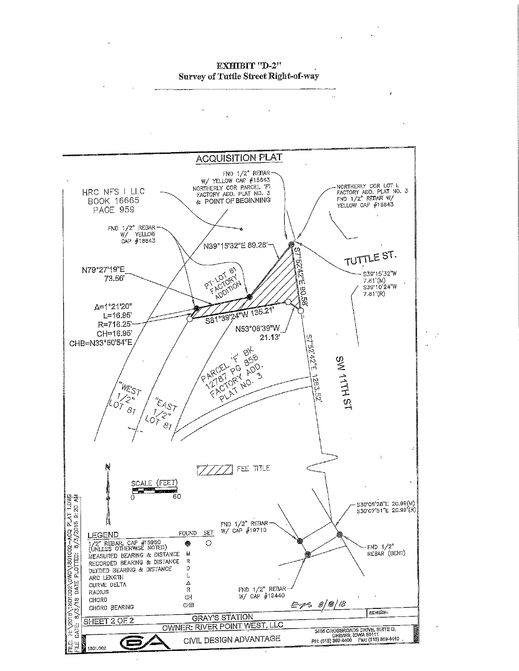EEEDILE SUFIN<br>Alternation (Alternational  $\frac{1}{\sqrt{2}}$  of the Survey right-of-way